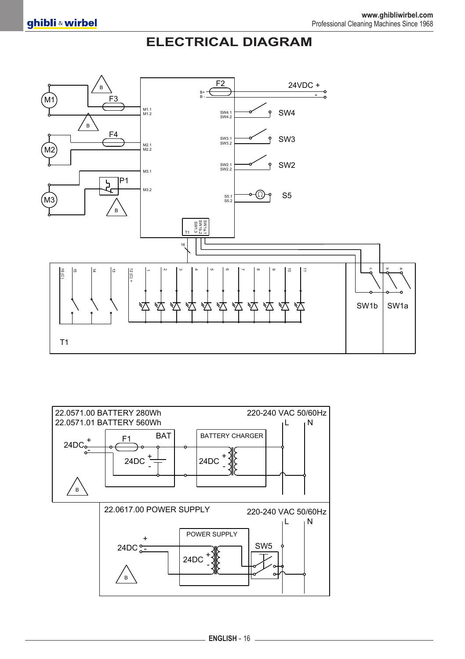## **ELECTRICAL DIAGRAM**